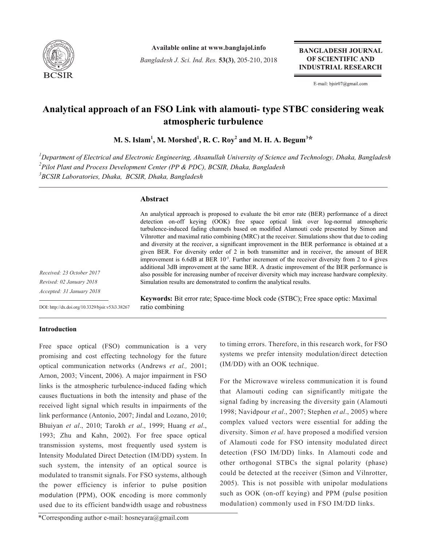

**Available online at www.banglajol.info**

*Bangladesh J. Sci. Ind. Res.* **53(3)**, 205-210, 2018

**BANGLADESH JOURNAL** OF SCIENTIFIC AND **INDUSTRIAL RESEARCH** 

E-mail: bjsir07@gmail.com

# **Analytical approach of an FSO Link with alamouti- type STBC considering weak atmospheric turbulence**

 $\mathbf{M}$ . S. Islam $^1$ ,  $\mathbf{M}$ . Morshed $^1$ ,  $\mathbf{R}$ . C. Roy $^2$  and  $\mathbf{M}$ . H. A. Begum $^{3\cdot k}$ 

*1 Department of Electrical and Electronic Engineering, Ahsanullah University of Science and Technology, Dhaka, Bangladesh 2 Pilot Plant and Process Development Center (PP & PDC), BCSIR, Dhaka, Bangladesh 3 BCSIR Laboratories, Dhaka, BCSIR, Dhaka, Bangladesh*

## **Abstract**

ratio combining

An analytical approach is proposed to evaluate the bit error rate (BER) performance of a direct detection on-off keying (OOK) free space optical link over log-normal atmospheric turbulence-induced fading channels based on modified Alamouti code presented by Simon and Vilnrotter and maximal ratio combining (MRC) at the receiver. Simulations show that due to coding and diversity at the receiver, a significant improvement in the BER performance is obtained at a given BER. For diversity order of 2 in both transmitter and in receiver, the amount of BER improvement is  $6.6$ dB at BER  $10^{-5}$ . Further increment of the receiver diversity from 2 to 4 gives additional 3dB improvement at the same BER. A drastic improvement of the BER performance is also possible for increasing number of receiver diversity which may increase hardware complexity. Simulation results are demonstrated to confirm the analytical results.

**Keywords:** Bit error rate; Space-time block code (STBC); Free space optic: Maximal

*Received: 23 October 2017 Revised: 02 January 2018 Accepted: 31 January 2018*

DOI: http://dx.doi.org/10.3329/bjsir.v53i3.38267

## **Introduction**

Free space optical (FSO) communication is a very promising and cost effecting technology for the future optical communication networks (Andrews *et al.,* 2001; Arnon, 2003; Vincent, 2006). A major impairment in FSO links is the atmospheric turbulence-induced fading which causes fluctuations in both the intensity and phase of the received light signal which results in impairments of the link performance (Antonio, 2007; Jindal and Lozano, 2010; Bhuiyan *et al*., 2010; Tarokh *et al*., 1999; Huang *et al*., 1993; Zhu and Kahn, 2002). For free space optical transmission systems, most frequently used system is Intensity Modulated Direct Detection (IM/DD) system. In such system, the intensity of an optical source is modulated to transmit signals. For FSO systems, although the power efficiency is inferior to pulse position modulation (PPM), OOK encoding is more commonly used due to its efficient bandwidth usage and robustness

to timing errors. Therefore, in this research work, for FSO systems we prefer intensity modulation/direct detection (IM/DD) with an OOK technique.

For the Microwave wireless communication it is found that Alamouti coding can significantly mitigate the signal fading by increasing the diversity gain (Alamouti 1998; Navidpour *et al*., 2007; Stephen *et al*., 2005) where complex valued vectors were essential for adding the diversity. Simon *et al*. have proposed a modified version of Alamouti code for FSO intensity modulated direct detection (FSO IM/DD) links. In Alamouti code and other orthogonal STBCs the signal polarity (phase) could be detected at the receiver (Simon and Vilnrotter, 2005). This is not possible with unipolar modulations such as OOK (on-off keying) and PPM (pulse position modulation) commonly used in FSO IM/DD links.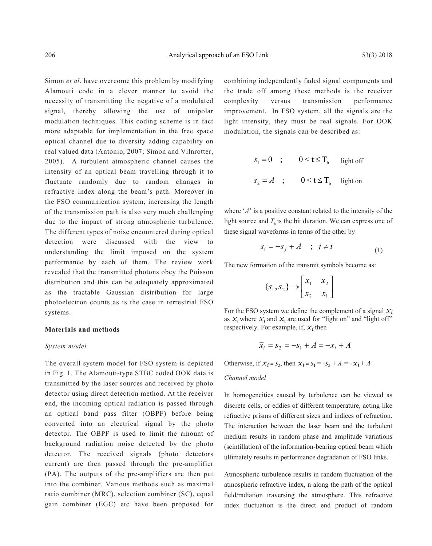Simon *et al*. have overcome this problem by modifying Alamouti code in a clever manner to avoid the necessity of transmitting the negative of a modulated signal, thereby allowing the use of unipolar modulation techniques. This coding scheme is in fact more adaptable for implementation in the free space optical channel due to diversity adding capability on real valued data (Antonio, 2007; Simon and Vilnrotter, 2005). A turbulent atmospheric channel causes the intensity of an optical beam travelling through it to fluctuate randomly due to random changes in refractive index along the beam's path. Moreover in the FSO communication system, increasing the length of the transmission path is also very much challenging due to the impact of strong atmospheric turbulence. The different types of noise encountered during optical detection were discussed with the view to understanding the limit imposed on the system performance by each of them. The review work revealed that the transmitted photons obey the Poisson distribution and this can be adequately approximated as the tractable Gaussian distribution for large photoelectron counts as is the case in terrestrial FSO systems.

#### **Materials and methods**

#### *System model*

The overall system model for FSO system is depicted in Fig. 1. The Alamouti-type STBC coded OOK data is transmitted by the laser sources and received by photo detector using direct detection method. At the receiver end, the incoming optical radiation is passed through an optical band pass filter (OBPF) before being converted into an electrical signal by the photo detector. The OBPF is used to limit the amount of background radiation noise detected by the photo detector. The received signals (photo detectors current) are then passed through the pre-amplifier (PA). The outputs of the pre-amplifiers are then put into the combiner. Various methods such as maximal ratio combiner (MRC), selection combiner (SC), equal gain combiner (EGC) etc have been proposed for combining independently faded signal components and the trade off among these methods is the receiver complexity versus transmission performance improvement. In FSO system, all the signals are the light intensity, they must be real signals. For OOK modulation, the signals can be described as:

$$
s_1 = 0 \quad ; \qquad 0 < t \le T_b \qquad \text{light off}
$$
\n
$$
s_2 = A \quad ; \qquad 0 < t \le T_b \qquad \text{light on}
$$

where '*A*' is a positive constant related to the intensity of the light source and  $T<sub>k</sub>$  is the bit duration. We can express one of these signal waveforms in terms of the other by

$$
S_i = -S_j + A \quad ; \quad j \neq i \tag{1}
$$

The new formation of the transmit symbols become as:

$$
\{s_1, s_2\} \rightarrow \begin{bmatrix} x_1 & \overline{x}_2 \\ x_2 & x_1 \end{bmatrix}
$$

For the FSO system we define the complement of a signal  $x_i$ as  $x_i$  where  $x_i$  and  $x_i$  are used for "light on" and "light off" respectively. For example, if,  $x_i$  then

$$
\overline{x}_i = s_2 = -s_1 + A = -x_i + A
$$

Otherwise, if  $x_i = s_2$ , then  $x_i = s_1 = -s_2 + A = -x_i + A$ 

#### *Channel model*

In homogeneities caused by turbulence can be viewed as discrete cells, or eddies of different temperature, acting like refractive prisms of different sizes and indices of refraction. The interaction between the laser beam and the turbulent medium results in random phase and amplitude variations (scintillation) of the information-bearing optical beam which ultimately results in performance degradation of FSO links.

Atmospheric turbulence results in random fluctuation of the atmospheric refractive index, n along the path of the optical field/radiation traversing the atmosphere. This refractive index fluctuation is the direct end product of random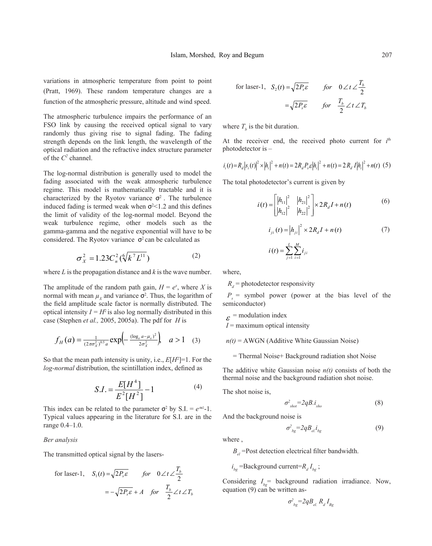variations in atmospheric temperature from point to point (Pratt, 1969). These random temperature changes are a function of the atmospheric pressure, altitude and wind speed.

The atmospheric turbulence impairs the performance of an FSO link by causing the received optical signal to vary randomly thus giving rise to signal fading. The fading strength depends on the link length, the wavelength of the optical radiation and the refractive index structure parameter of the *C2* channel.

The log-normal distribution is generally used to model the fading associated with the weak atmospheric turbulence regime. This model is mathematically tractable and it is characterized by the Ryotov variance  $\sigma^2$ . The turbulence induced fading is termed weak when  $\sigma^2$  < 1.2 and this defines the limit of validity of the log-normal model. Beyond the weak turbulence regime, other models such as the gamma-gamma and the negative exponential will have to be considered. The Ryotov variance  $\sigma^2$  can be calculated as

$$
\sigma_X^2 = 1.23 C_n^2 \left( \sqrt[6]{k^7 L^{11}} \right)
$$
 (2)

where  $L$  is the propagation distance and  $k$  is the wave number.

The amplitude of the random path gain,  $H = e^x$ , where *X* is normal with mean  $\mu<sub>x</sub>$  and variance  $\sigma<sup>2</sup>$ . Thus, the logarithm of the field amplitude scale factor is normally distributed. The optical intensity  $I = H^2$  is also log normally distributed in this case (Stephen *et al.,* 2005, 2005a). The pdf for *H* is

$$
f_H(a) = \frac{1}{(2\pi\sigma_X^2)^{0.5}a} \exp\left(-\frac{(\log_e a - \mu_X)^2}{2\sigma_X^2}\right) \quad a > 1 \quad (3)
$$

So that the mean path intensity is unity, i.e., *E*[*H*<sup>2</sup> ]=1. For the *log-normal* distribution, the scintillation index, defined as

$$
S.I. = \frac{E[H^4]}{E^2[H^2]} - 1\tag{4}
$$

This index can be related to the parameter  $\sigma^2$  by S.I. =  $e^{4\sigma^2-1}$ . Typical values appearing in the literature for S.I. are in the range 0.4–1.0.

#### *Ber analysis*

The transmitted optical signal by the lasers-

for laser-1, 
$$
S_1(t) = \sqrt{2P_s \varepsilon}
$$
 for  $0 \angle t \angle \frac{T_b}{2}$   
=  $-\sqrt{2P_s \varepsilon} + A$  for  $\frac{T_b}{2} \angle t \angle T_b$ 

for laser-1, 
$$
S_2(t) = \sqrt{2P_s \varepsilon}
$$
 for  $0 \angle t \angle \frac{T_b}{2}$   
=  $\sqrt{2P_s \varepsilon}$  for  $\frac{T_b}{2} \angle t \angle T_b$ 

where  $T_b$  is the bit duration.

At the receiver end, the received photo current for  $i<sup>th</sup>$ photodetector is –

$$
i_i(t) = R_d |s_i(t)|^2 \times |h_i|^2 + n(t) = 2R_d P_s \varepsilon |h_i|^2 + n(t) = 2R_d I |h_i|^2 + n(t) \tag{5}
$$

The total photodetector's current is given by

$$
i(t) = \begin{bmatrix} |h_{11}|^2 & |h_{21}|^2 \\ |h_{12}|^2 & |h_{22}|^2 \end{bmatrix} \times 2R_d I + n(t)
$$
 (6)

$$
i_{ji}(t) = |h_{ji}|^2 \times 2R_d I + n(t)
$$
\n(7)\n
$$
i(t) = \sum_{j=1}^{L} \sum_{i=1}^{M} i_{ji}
$$

where,

 $R_d$  = photodetector responsivity

 $P_s$  = symbol power (power at the bias level of the semiconductor)

- $\varepsilon$  = modulation index
- *I* = maximum optical intensity

 $n(t) = A WGN$  (Additive White Gaussian Noise)

= Thermal Noise+ Background radiation shot Noise

The additive white Gaussian noise *n(t)* consists of both the thermal noise and the background radiation shot noise.

The shot noise is,

$$
\sigma_{\rm shot}^2=2qB.i_{\rm shot} \tag{8}
$$

And the background noise is

$$
\sigma_{bg}^2 = 2q B_{el} i_{bg} \tag{9}
$$

where ,

 $B_{el}$  =Post detection electrical filter bandwidth.

 $i_{bg}$  =Background current= $R_d I_{bg}$ ;

Considering  $I_{bg}$  background radiation irradiance. Now, equation (9) can be written as-

$$
\sigma _{_{\,bg}}^{^{2}}\!\!=\!\!2qB_{_{el.}}R_{_{d}}I_{_{Bg}}
$$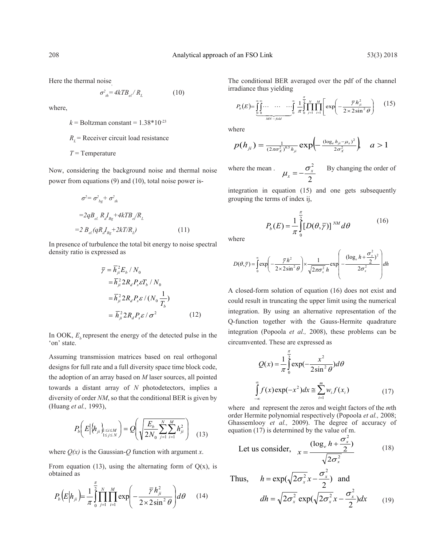Here the thermal noise,

$$
\sigma_{th}^2 = 4kTB_{el}/R_L \tag{10}
$$

where,

 $k =$ Boltzman constant =  $1.38*10<sup>-23</sup>$ 

 $R_i$  = Receiver circuit load resistance

 $T =$ Temperature

Now, considering the background noise and thermal noise power from equations (9) and (10), total noise power is-

$$
\sigma^2 = \sigma_{bg}^2 + \sigma_{th}^2
$$
  
= 2qB<sub>el</sub>,  $R_d I_{bg} + 4kTB_e/R_L$   
= 2 B<sub>el</sub> (qR<sub>d</sub>I<sub>bg</sub> + 2kT/R<sub>l</sub>) (11)

In presence of turbulence the total bit energy to noise spectral density ratio is expressed as

$$
\overline{\gamma} = \overline{h}_{ji}^2 E_b / N_0
$$
  
\n
$$
= \overline{h}_{ji}^2 2R_d P_s \varepsilon T_b / N_0
$$
  
\n
$$
= \overline{h}_{ji}^2 2R_d P_s \varepsilon / (N_0 \frac{1}{T_b})
$$
  
\n
$$
= \overline{h}_{ji}^2 2R_d P_s \varepsilon / \sigma^2
$$
 (12)

In OOK,  $E<sub>b</sub>$  represent the energy of the detected pulse in the 'on' state.

Assuming transmission matrices based on real orthogonal designs for full rate and a full diversity space time block code, the adoption of an array based on *M* laser sources, all pointed towards a distant array of *N* photodetectors, implies a diversity of order *NM*, so that the conditional BER is given by (Huang *et al.,* 1993),

$$
P_b\left(E\Big|\{h_{ji}\}_{1\leq j\leq M}\atop{1\leq j\leq N}\right)=Q\left(\sqrt{\frac{E_b}{2N_0}}\sum_{j=1}^N\sum_{i=1}^M h_{ji}^2\right) (13)
$$

where  $Q(x)$  is the Gaussian- $Q$  function with argument *x*.

From equation (13), using the alternating form of  $Q(x)$ , is obtained as

$$
P_b(E|h_{ji}) = \frac{1}{\pi} \int_{0}^{\frac{\pi}{2}} \prod_{j=1}^{N} \prod_{i=1}^{M} \exp\left(-\frac{\overline{\gamma} h_{ji}^2}{2 \times 2 \sin^2 \theta}\right) d\theta \qquad (14)
$$

The conditional BER averaged over the pdf of the channel irradiance thus yielding

π

$$
P_b(E) = \underbrace{\int_0^{\infty} \int_0^{\infty} \cdots \cdots \int_0^{\infty} \frac{1}{\pi} \prod_{j=1}^{\frac{1}{2}} \prod_{i=1}^M \prod_{k=1}^M \left[ \exp \left( -\frac{\overline{\gamma} h_{jk}^2}{2 \times 2 \sin^2 \theta} \right) \right] \tag{15}
$$

where

$$
p(h_{ji}) = \frac{1}{(2\pi\sigma_X^2)^{0.5}h_{ji}} \exp\left(-\frac{(\log_e h_{ji} - \mu_X)^2}{2\sigma_X^2}\right) \quad a > 1
$$

where the mean .  $\mu = -\frac{\sigma_x^2}{\sigma_x^2}$  By changing the order of 2 2  $\frac{0}{x} = -\frac{0}{2}$  $\mu_{\rm r} = -\frac{\sigma}{\sigma}$ 

integration in equation (15) and one gets subsequently grouping the terms of index ij,

$$
P_b(E) = \frac{1}{\pi} \int_{0}^{\frac{\pi}{2}} [D(\theta, \overline{y})]^{NM} d\theta
$$
 (16)

where

$$
D(\theta, \overline{y}) = \int_{0}^{\infty} \exp\left(-\frac{\overline{y}h^2}{2 \times 2\sin^2\theta}\right) \times \frac{1}{\sqrt{2\pi\sigma_x^2}h} \exp\left(-\frac{(\log_e h + \frac{\sigma_x^2}{2})^2}{2\sigma_x^2}\right) dh
$$

A closed-form solution of equation (16) does not exist and could result in truncating the upper limit using the numerical integration. By using an alternative representation of the Q-function together with the Gauss-Hermite quadrature integration (Popoola *et al.,* 2008), these problems can be circumvented. These are expressed as

$$
Q(x) = \frac{1}{\pi} \int_{0}^{\frac{\pi}{2}} \exp(-\frac{x^2}{2\sin^2 \theta}) d\theta
$$

$$
\int_{-\infty}^{\infty} f(x) \exp(-x^2) dx \approx \sum_{i=1}^{m} w_i f(x_i)
$$
(17)

where and represent the zeros and weight factors of the *m*th order Hermite polynomial respectively (Popoola *et al.,* 2008; Ghassemlooy *et al.,* 2009). The degree of accuracy of equation (17) is determined by the value of m.

Let us consider, 
$$
x = \frac{(\log_e h + \frac{\sigma_x^2}{2})}{\sqrt{2\sigma_x^2}}
$$
 (18)

Thus, 
$$
h = \exp(\sqrt{2\sigma_x^2}x - \frac{\sigma_x^2}{2})
$$
 and  
\n
$$
dh = \sqrt{2\sigma_x^2} \exp(\sqrt{2\sigma_x^2}x - \frac{\sigma_x^2}{2})dx
$$
 (19)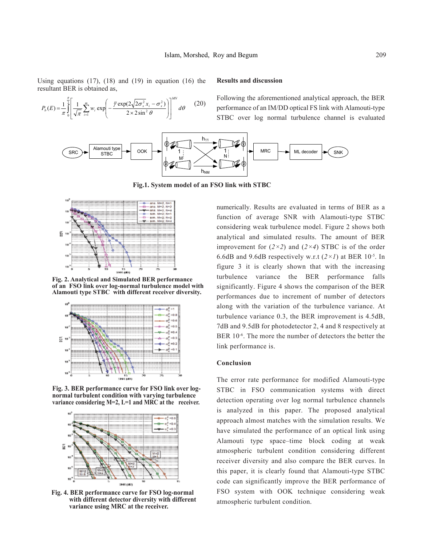Using equations  $(17)$ ,  $(18)$  and  $(19)$  in equation  $(16)$  the resultant BER is obtained as,

## **Results and discussion**

$$
P_b(E) = \frac{1}{\pi} \int_0^{\frac{\pi}{2}} \left[ \frac{1}{\sqrt{\pi}} \sum_{i=1}^m w_i \exp\left(-\frac{\overline{\gamma} \exp(2\sqrt{2\sigma_x^2} x_i - \sigma_x^2)}{2 \times 2 \sin^2 \theta}\right) \right]^{MN} d\theta \qquad (20)
$$

Following the aforementioned analytical approach, the BER performance of an IM/DD optical FS link with Alamouti-type STBC over log normal turbulence channel is evaluated



**Fig.1. System model of an FSO link with STBC**



**Fig. 2. Analytical and Simulated BER performance of an FSO link over log-normal turbulence model with Alamouti type STBC with different receiver diversity.**



**Fig. 3. BER performance curve for FSO link over lognormal turbulent condition with varying turbulence variance considering M=2, L=1 and MRC at the receiver.**



**Fig. 4. BER performance curve for FSO log-normal with different detector diversity with different variance using MRC at the receiver.**

numerically. Results are evaluated in terms of BER as a function of average SNR with Alamouti-type STBC considering weak turbulence model. Figure 2 shows both analytical and simulated results. The amount of BER improvement for (*2×2*) and (*2×4*) STBC is of the order 6.6dB and 9.6dB respectively w.r.t  $(2\times1)$  at BER 10<sup>-5</sup>. In figure 3 it is clearly shown that with the increasing turbulence variance the BER performance falls significantly. Figure 4 shows the comparison of the BER performances due to increment of number of detectors along with the variation of the turbulence variance. At turbulence variance 0.3, the BER improvement is 4.5dB, 7dB and 9.5dB for photodetector 2, 4 and 8 respectively at BER 10<sup>-6</sup>. The more the number of detectors the better the link performance is.

### **Conclusion**

The error rate performance for modified Alamouti-type STBC in FSO communication systems with direct detection operating over log normal turbulence channels is analyzed in this paper. The proposed analytical approach almost matches with the simulation results. We have simulated the performance of an optical link using Alamouti type space–time block coding at weak atmospheric turbulent condition considering different receiver diversity and also compare the BER curves. In this paper, it is clearly found that Alamouti-type STBC code can significantly improve the BER performance of FSO system with OOK technique considering weak atmospheric turbulent condition.